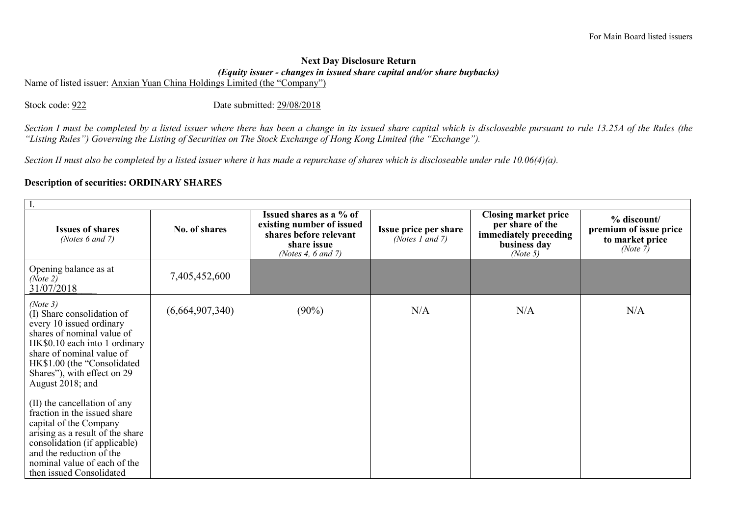## Next Day Disclosure Return (Equity issuer - changes in issued share capital and/or share buybacks)

Name of listed issuer: Anxian Yuan China Holdings Limited (the "Company")

Stock code: 922 Date submitted: 29/08/2018

Section I must be completed by a listed issuer where there has been a change in its issued share capital which is discloseable pursuant to rule 13.25A of the Rules (the "Listing Rules") Governing the Listing of Securities on The Stock Exchange of Hong Kong Limited (the "Exchange").

Section II must also be completed by a listed issuer where it has made a repurchase of shares which is discloseable under rule 10.06(4)(a).

## Description of securities: ORDINARY SHARES

| I.                                                                                                                                                                                                                                                                                                                                                                                                                                                                                                      |                 |                                                                                                                     |                                          |                                                                                                      |                                                                         |
|---------------------------------------------------------------------------------------------------------------------------------------------------------------------------------------------------------------------------------------------------------------------------------------------------------------------------------------------------------------------------------------------------------------------------------------------------------------------------------------------------------|-----------------|---------------------------------------------------------------------------------------------------------------------|------------------------------------------|------------------------------------------------------------------------------------------------------|-------------------------------------------------------------------------|
| <b>Issues of shares</b><br>(Notes $6$ and $7$ )                                                                                                                                                                                                                                                                                                                                                                                                                                                         | No. of shares   | Issued shares as a % of<br>existing number of issued<br>shares before relevant<br>share issue<br>(Notes 4, 6 and 7) | Issue price per share<br>(Notes 1 and 7) | <b>Closing market price</b><br>per share of the<br>immediately preceding<br>business day<br>(Note 5) | % discount/<br>premium of issue price<br>to market price<br>(Note $7$ ) |
| Opening balance as at<br>(Note 2)<br>31/07/2018                                                                                                                                                                                                                                                                                                                                                                                                                                                         | 7,405,452,600   |                                                                                                                     |                                          |                                                                                                      |                                                                         |
| (Note 3)<br>(I) Share consolidation of<br>every 10 issued ordinary<br>shares of nominal value of<br>HK\$0.10 each into 1 ordinary<br>share of nominal value of<br>HK\$1.00 (the "Consolidated<br>Shares"), with effect on 29<br>August 2018; and<br>(II) the cancellation of any<br>fraction in the issued share<br>capital of the Company<br>arising as a result of the share<br>consolidation (if applicable)<br>and the reduction of the<br>nominal value of each of the<br>then issued Consolidated | (6,664,907,340) | $(90\%)$                                                                                                            | N/A                                      | N/A                                                                                                  | N/A                                                                     |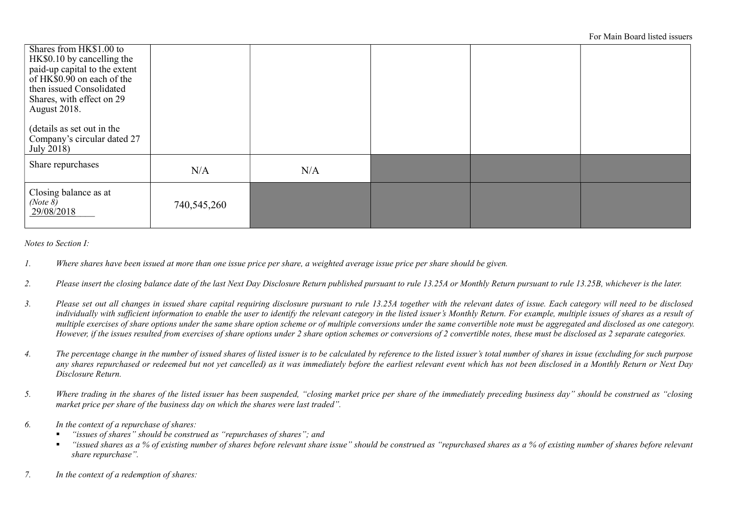| Shares from HK\$1.00 to<br>HK\$0.10 by cancelling the<br>paid-up capital to the extent<br>of $HK\$ $0.90$ on each of the<br>then issued Consolidated<br>Shares, with effect on 29<br>August 2018.<br>(details as set out in the |             |     |  |  |
|---------------------------------------------------------------------------------------------------------------------------------------------------------------------------------------------------------------------------------|-------------|-----|--|--|
| Company's circular dated 27<br>July 2018)                                                                                                                                                                                       |             |     |  |  |
| Share repurchases                                                                                                                                                                                                               | N/A         | N/A |  |  |
| Closing balance as at<br>(Note 8)<br>29/08/2018                                                                                                                                                                                 | 740,545,260 |     |  |  |

Notes to Section I:

- 1. Where shares have been issued at more than one issue price per share, a weighted average issue price per share should be given.
- 2. Please insert the closing balance date of the last Next Day Disclosure Return published pursuant to rule 13.25A or Monthly Return pursuant to rule 13.25B, whichever is the later.
- 3. Please set out all changes in issued share capital requiring disclosure pursuant to rule 13.25A together with the relevant dates of issue. Each category will need to be disclosed individually with sufficient information to enable the user to identify the relevant category in the listed issuer's Monthly Return. For example, multiple issues of shares as a result of multiple exercises of share options under the same share option scheme or of multiple conversions under the same convertible note must be aggregated and disclosed as one category. However, if the issues resulted from exercises of share options under 2 share option schemes or conversions of 2 convertible notes, these must be disclosed as 2 separate categories.
- 4. The percentage change in the number of issued shares of listed issuer is to be calculated by reference to the listed issuer's total number of shares in issue (excluding for such purpose any shares repurchased or redeemed but not yet cancelled) as it was immediately before the earliest relevant event which has not been disclosed in a Monthly Return or Next Day Disclosure Return.
- 5. Where trading in the shares of the listed issuer has been suspended, "closing market price per share of the immediately preceding business day" should be construed as "closing market price per share of the business day on which the shares were last traded".
- 6. In the context of a repurchase of shares:
	- "issues of shares" should be construed as "repurchases of shares"; and
	- "issued shares as a % of existing number of shares before relevant share issue" should be construed as "repurchased shares as a % of existing number of shares before relevant share repurchase".
- 7. In the context of a redemption of shares: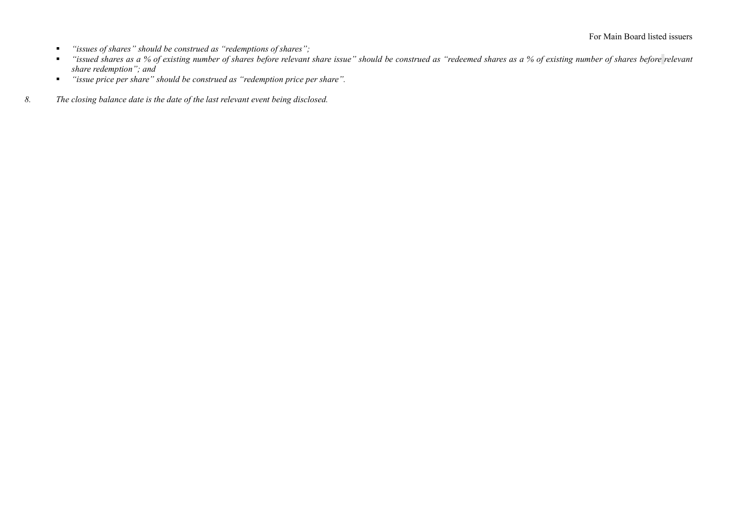- "issues of shares" should be construed as "redemptions of shares";
- "issued shares as a % of existing number of shares before relevant share issue" should be construed as "redeemed shares as a % of existing number of shares before relevant share redemption"; and
- "issue price per share" should be construed as "redemption price per share".
- 8. The closing balance date is the date of the last relevant event being disclosed.